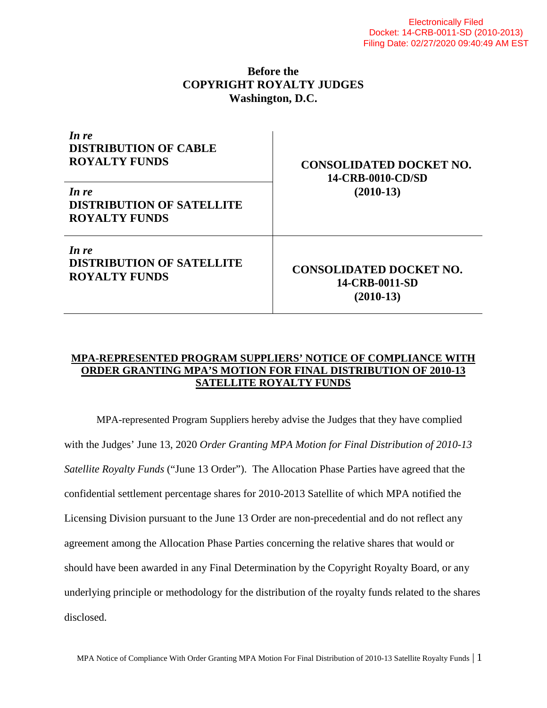## **Before the COPYRIGHT ROYALTY JUDGES Washington, D.C.**

| In re<br><b>DISTRIBUTION OF CABLE</b><br><b>ROYALTY FUNDS</b>     | <b>CONSOLIDATED DOCKET NO.</b><br>14-CRB-0010-CD/SD<br>$(2010-13)$ |
|-------------------------------------------------------------------|--------------------------------------------------------------------|
| In re<br><b>DISTRIBUTION OF SATELLITE</b><br><b>ROYALTY FUNDS</b> |                                                                    |
| In re<br><b>DISTRIBUTION OF SATELLITE</b><br><b>ROYALTY FUNDS</b> | <b>CONSOLIDATED DOCKET NO.</b><br>14-CRB-0011-SD<br>$(2010-13)$    |

## **MPA-REPRESENTED PROGRAM SUPPLIERS' NOTICE OF COMPLIANCE WITH ORDER GRANTING MPA'S MOTION FOR FINAL DISTRIBUTION OF 2010-13 SATELLITE ROYALTY FUNDS**

MPA-represented Program Suppliers hereby advise the Judges that they have complied with the Judges' June 13, 2020 *Order Granting MPA Motion for Final Distribution of 2010-13 Satellite Royalty Funds* ("June 13 Order"). The Allocation Phase Parties have agreed that the confidential settlement percentage shares for 2010-2013 Satellite of which MPA notified the Licensing Division pursuant to the June 13 Order are non-precedential and do not reflect any agreement among the Allocation Phase Parties concerning the relative shares that would or should have been awarded in any Final Determination by the Copyright Royalty Board, or any underlying principle or methodology for the distribution of the royalty funds related to the shares disclosed.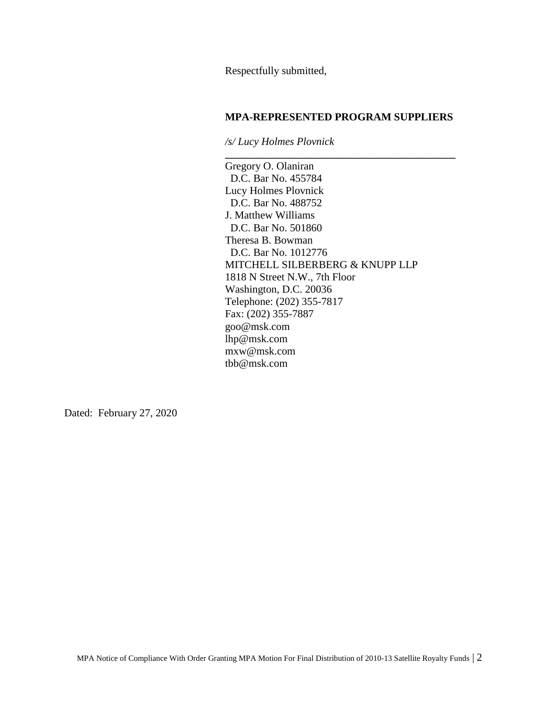Respectfully submitted,

## **MPA-REPRESENTED PROGRAM SUPPLIERS**

**\_\_\_\_\_\_\_\_\_\_\_\_\_\_\_\_\_\_\_\_\_\_\_\_\_\_\_\_\_\_\_\_\_\_\_\_\_\_\_\_\_\_\_**

*/s/ Lucy Holmes Plovnick*

Gregory O. Olaniran D.C. Bar No. 455784 Lucy Holmes Plovnick D.C. Bar No. 488752 J. Matthew Williams D.C. Bar No. 501860 Theresa B. Bowman D.C. Bar No. 1012776 MITCHELL SILBERBERG & KNUPP LLP 1818 N Street N.W., 7th Floor Washington, D.C. 20036 Telephone: (202) 355-7817 Fax: (202) 355-7887 goo@msk.com lhp@msk.com mxw@msk.com tbb@msk.com

Dated: February 27, 2020